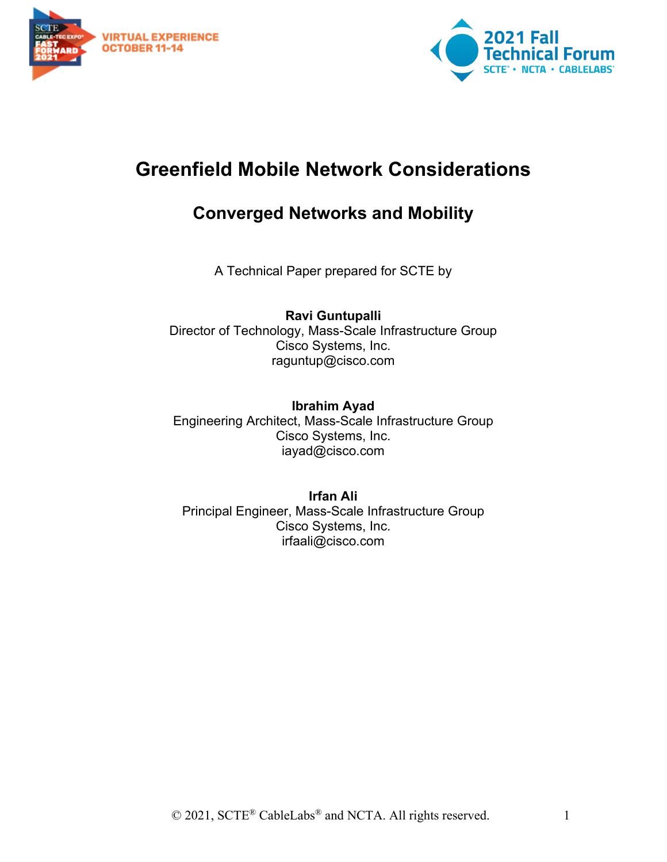



## **Greenfield Mobile Network Considerations**

## **Converged Networks and Mobility**

A Technical Paper prepared for SCTE by

**Ravi Guntupalli** Director of Technology, Mass-Scale Infrastructure Group Cisco Systems, Inc. raguntup@cisco.com

#### **Ibrahim Ayad**

Engineering Architect, Mass-Scale Infrastructure Group Cisco Systems, Inc. iayad@cisco.com

#### **Irfan Ali**

Principal Engineer, Mass-Scale Infrastructure Group Cisco Systems, Inc. irfaali@cisco.com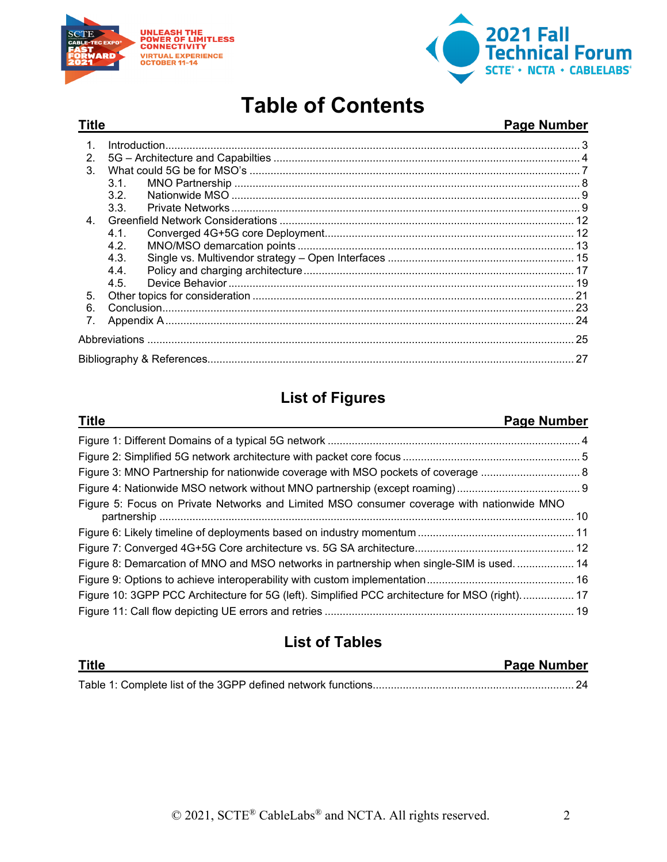



# **Table of Contents**

#### **Title Page Number**

| $\int_0^{\infty} \frac{1}{2} \int_0^{\infty} \frac{1}{2} \int_0^{\infty} \frac{1}{2} \int_0^{\infty} \frac{1}{2} \int_0^{\infty} \frac{1}{2} \int_0^{\infty} \frac{1}{2} \int_0^{\infty} \frac{1}{2} \int_0^{\infty} \frac{1}{2} \int_0^{\infty} \frac{1}{2} \int_0^{\infty} \frac{1}{2} \int_0^{\infty} \frac{1}{2} \int_0^{\infty} \frac{1}{2} \int_0^{\infty} \frac{1}{2} \int_0^{\infty} \frac{$ |  |
|------------------------------------------------------------------------------------------------------------------------------------------------------------------------------------------------------------------------------------------------------------------------------------------------------------------------------------------------------------------------------------------------------|--|
|                                                                                                                                                                                                                                                                                                                                                                                                      |  |
|                                                                                                                                                                                                                                                                                                                                                                                                      |  |
| 3 1                                                                                                                                                                                                                                                                                                                                                                                                  |  |
| 32 <sup>o</sup>                                                                                                                                                                                                                                                                                                                                                                                      |  |
| 3.3.                                                                                                                                                                                                                                                                                                                                                                                                 |  |
|                                                                                                                                                                                                                                                                                                                                                                                                      |  |
| 41                                                                                                                                                                                                                                                                                                                                                                                                   |  |
| 4.2.                                                                                                                                                                                                                                                                                                                                                                                                 |  |
| 4.3.                                                                                                                                                                                                                                                                                                                                                                                                 |  |
| 4.4.                                                                                                                                                                                                                                                                                                                                                                                                 |  |
| 4.5.                                                                                                                                                                                                                                                                                                                                                                                                 |  |
|                                                                                                                                                                                                                                                                                                                                                                                                      |  |
|                                                                                                                                                                                                                                                                                                                                                                                                      |  |
|                                                                                                                                                                                                                                                                                                                                                                                                      |  |
|                                                                                                                                                                                                                                                                                                                                                                                                      |  |
|                                                                                                                                                                                                                                                                                                                                                                                                      |  |
|                                                                                                                                                                                                                                                                                                                                                                                                      |  |

## **List of Figures**

| <b>Title</b>                                                                                   | Page Number |
|------------------------------------------------------------------------------------------------|-------------|
|                                                                                                |             |
|                                                                                                |             |
|                                                                                                |             |
|                                                                                                |             |
| Figure 5: Focus on Private Networks and Limited MSO consumer coverage with nationwide MNO      |             |
|                                                                                                |             |
|                                                                                                |             |
| Figure 8: Demarcation of MNO and MSO networks in partnership when single-SIM is used 14        |             |
|                                                                                                |             |
| Figure 10: 3GPP PCC Architecture for 5G (left). Simplified PCC architecture for MSO (right) 17 |             |
|                                                                                                |             |

## **List of Tables**

| Title | <b>Page Number</b> |
|-------|--------------------|
|       |                    |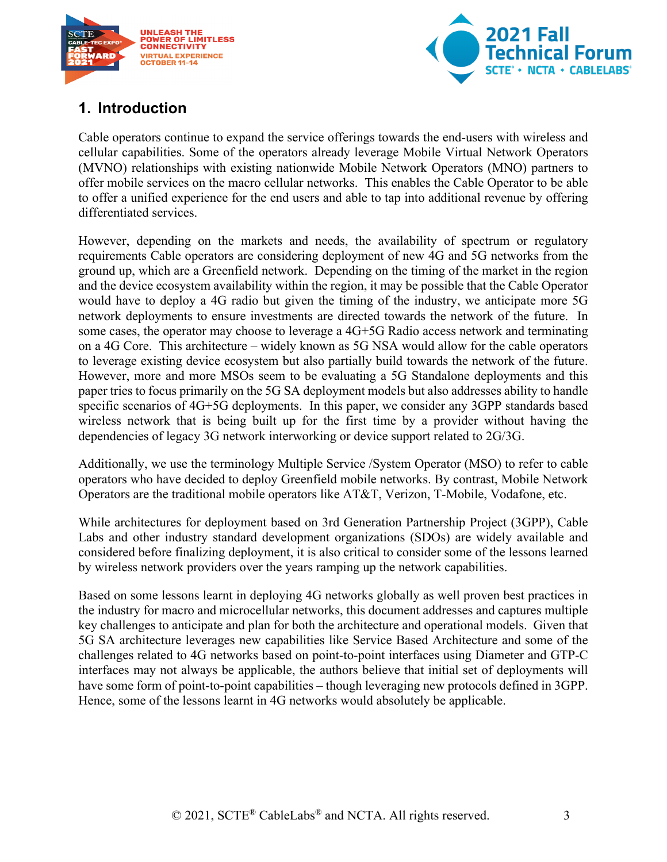



## <span id="page-2-0"></span>**1. Introduction**

Cable operators continue to expand the service offerings towards the end-users with wireless and cellular capabilities. Some of the operators already leverage Mobile Virtual Network Operators (MVNO) relationships with existing nationwide Mobile Network Operators (MNO) partners to offer mobile services on the macro cellular networks. This enables the Cable Operator to be able to offer a unified experience for the end users and able to tap into additional revenue by offering differentiated services.

However, depending on the markets and needs, the availability of spectrum or regulatory requirements Cable operators are considering deployment of new 4G and 5G networks from the ground up, which are a Greenfield network. Depending on the timing of the market in the region and the device ecosystem availability within the region, it may be possible that the Cable Operator would have to deploy a 4G radio but given the timing of the industry, we anticipate more 5G network deployments to ensure investments are directed towards the network of the future. In some cases, the operator may choose to leverage a 4G+5G Radio access network and terminating on a 4G Core. This architecture – widely known as 5G NSA would allow for the cable operators to leverage existing device ecosystem but also partially build towards the network of the future. However, more and more MSOs seem to be evaluating a 5G Standalone deployments and this paper tries to focus primarily on the 5G SA deployment models but also addresses ability to handle specific scenarios of 4G+5G deployments. In this paper, we consider any 3GPP standards based wireless network that is being built up for the first time by a provider without having the dependencies of legacy 3G network interworking or device support related to 2G/3G.

Additionally, we use the terminology Multiple Service /System Operator (MSO) to refer to cable operators who have decided to deploy Greenfield mobile networks. By contrast, Mobile Network Operators are the traditional mobile operators like AT&T, Verizon, T-Mobile, Vodafone, etc.

While architectures for deployment based on 3rd Generation Partnership Project (3GPP), Cable Labs and other industry standard development organizations (SDOs) are widely available and considered before finalizing deployment, it is also critical to consider some of the lessons learned by wireless network providers over the years ramping up the network capabilities.

Based on some lessons learnt in deploying 4G networks globally as well proven best practices in the industry for macro and microcellular networks, this document addresses and captures multiple key challenges to anticipate and plan for both the architecture and operational models. Given that 5G SA architecture leverages new capabilities like Service Based Architecture and some of the challenges related to 4G networks based on point-to-point interfaces using Diameter and GTP-C interfaces may not always be applicable, the authors believe that initial set of deployments will have some form of point-to-point capabilities – though leveraging new protocols defined in 3GPP. Hence, some of the lessons learnt in 4G networks would absolutely be applicable.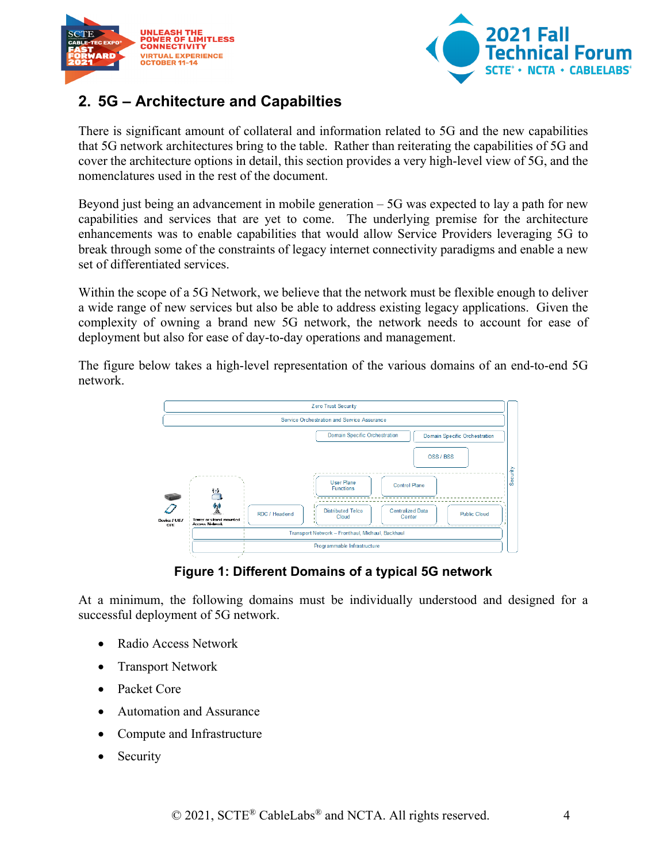



## <span id="page-3-0"></span>**2. 5G – Architecture and Capabilties**

There is significant amount of collateral and information related to 5G and the new capabilities that 5G network architectures bring to the table. Rather than reiterating the capabilities of 5G and cover the architecture options in detail, this section provides a very high-level view of 5G, and the nomenclatures used in the rest of the document.

Beyond just being an advancement in mobile generation – 5G was expected to lay a path for new capabilities and services that are yet to come. The underlying premise for the architecture enhancements was to enable capabilities that would allow Service Providers leveraging 5G to break through some of the constraints of legacy internet connectivity paradigms and enable a new set of differentiated services.

Within the scope of a 5G Network, we believe that the network must be flexible enough to deliver a wide range of new services but also be able to address existing legacy applications. Given the complexity of owning a brand new 5G network, the network needs to account for ease of deployment but also for ease of day-to-day operations and management.

The figure below takes a high-level representation of the various domains of an end-to-end 5G network.



#### **Figure 1: Different Domains of a typical 5G network**

<span id="page-3-1"></span>At a minimum, the following domains must be individually understood and designed for a successful deployment of 5G network.

- Radio Access Network
- Transport Network
- Packet Core
- Automation and Assurance
- Compute and Infrastructure
- **Security**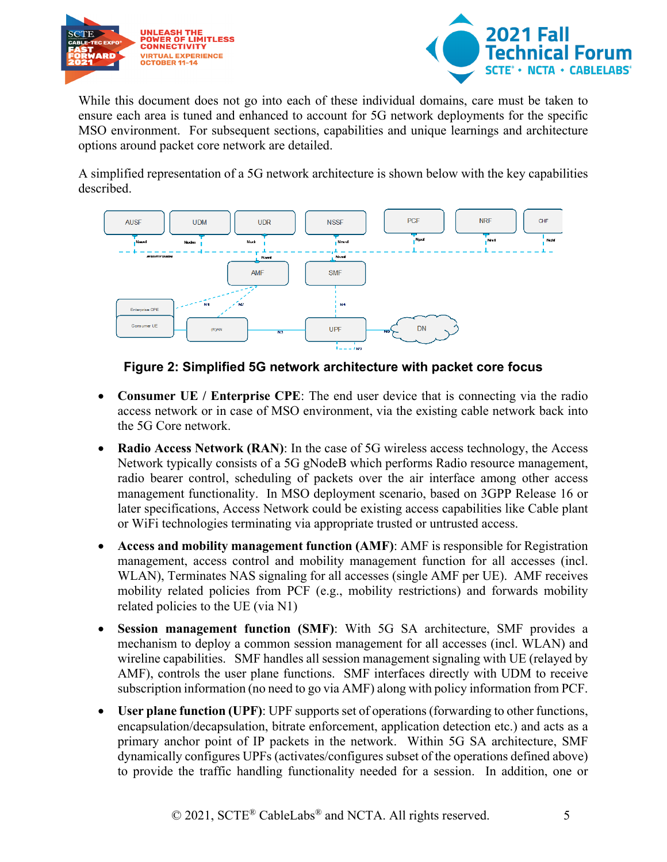



While this document does not go into each of these individual domains, care must be taken to ensure each area is tuned and enhanced to account for 5G network deployments for the specific MSO environment. For subsequent sections, capabilities and unique learnings and architecture options around packet core network are detailed.

A simplified representation of a 5G network architecture is shown below with the key capabilities described.



**Figure 2: Simplified 5G network architecture with packet core focus**

- <span id="page-4-0"></span>• **Consumer UE / Enterprise CPE**: The end user device that is connecting via the radio access network or in case of MSO environment, via the existing cable network back into the 5G Core network.
- **Radio Access Network (RAN)**: In the case of 5G wireless access technology, the Access Network typically consists of a 5G gNodeB which performs Radio resource management, radio bearer control, scheduling of packets over the air interface among other access management functionality. In MSO deployment scenario, based on 3GPP Release 16 or later specifications, Access Network could be existing access capabilities like Cable plant or WiFi technologies terminating via appropriate trusted or untrusted access.
- **Access and mobility management function (AMF)**: AMF is responsible for Registration management, access control and mobility management function for all accesses (incl. WLAN), Terminates NAS signaling for all accesses (single AMF per UE). AMF receives mobility related policies from PCF (e.g., mobility restrictions) and forwards mobility related policies to the UE (via N1)
- **Session management function (SMF)**: With 5G SA architecture, SMF provides a mechanism to deploy a common session management for all accesses (incl. WLAN) and wireline capabilities. SMF handles all session management signaling with UE (relayed by AMF), controls the user plane functions. SMF interfaces directly with UDM to receive subscription information (no need to go via AMF) along with policy information from PCF.
- **User plane function (UPF)**: UPF supports set of operations (forwarding to other functions, encapsulation/decapsulation, bitrate enforcement, application detection etc.) and acts as a primary anchor point of IP packets in the network. Within 5G SA architecture, SMF dynamically configures UPFs (activates/configures subset of the operations defined above) to provide the traffic handling functionality needed for a session. In addition, one or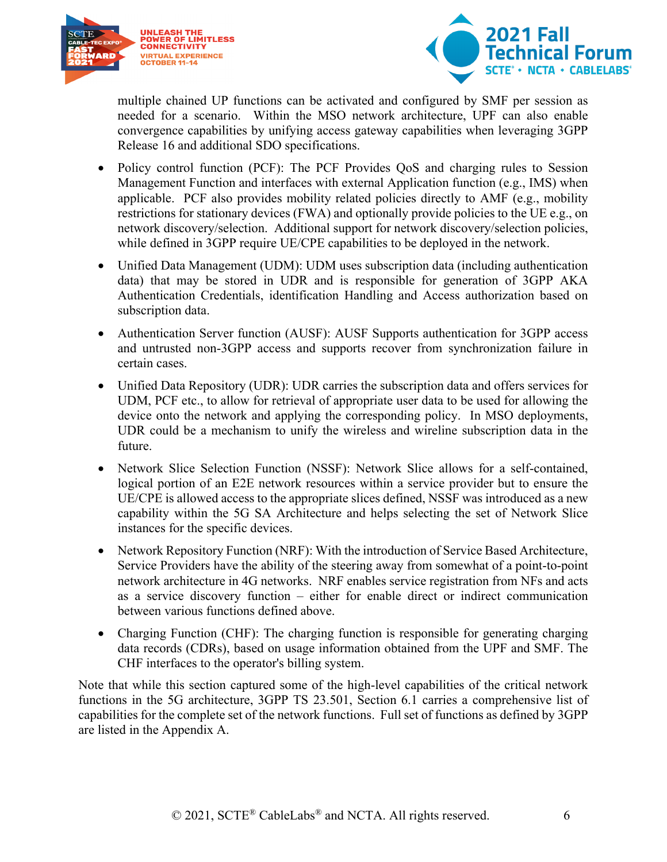



multiple chained UP functions can be activated and configured by SMF per session as needed for a scenario. Within the MSO network architecture, UPF can also enable convergence capabilities by unifying access gateway capabilities when leveraging 3GPP Release 16 and additional SDO specifications.

- Policy control function (PCF): The PCF Provides QoS and charging rules to Session Management Function and interfaces with external Application function (e.g., IMS) when applicable. PCF also provides mobility related policies directly to AMF (e.g., mobility restrictions for stationary devices (FWA) and optionally provide policies to the UE e.g., on network discovery/selection. Additional support for network discovery/selection policies, while defined in 3GPP require UE/CPE capabilities to be deployed in the network.
- Unified Data Management (UDM): UDM uses subscription data (including authentication data) that may be stored in UDR and is responsible for generation of 3GPP AKA Authentication Credentials, identification Handling and Access authorization based on subscription data.
- Authentication Server function (AUSF): AUSF Supports authentication for 3GPP access and untrusted non-3GPP access and supports recover from synchronization failure in certain cases.
- Unified Data Repository (UDR): UDR carries the subscription data and offers services for UDM, PCF etc., to allow for retrieval of appropriate user data to be used for allowing the device onto the network and applying the corresponding policy. In MSO deployments, UDR could be a mechanism to unify the wireless and wireline subscription data in the future.
- Network Slice Selection Function (NSSF): Network Slice allows for a self-contained, logical portion of an E2E network resources within a service provider but to ensure the UE/CPE is allowed access to the appropriate slices defined, NSSF was introduced as a new capability within the 5G SA Architecture and helps selecting the set of Network Slice instances for the specific devices.
- Network Repository Function (NRF): With the introduction of Service Based Architecture, Service Providers have the ability of the steering away from somewhat of a point-to-point network architecture in 4G networks. NRF enables service registration from NFs and acts as a service discovery function – either for enable direct or indirect communication between various functions defined above.
- Charging Function (CHF): The charging function is responsible for generating charging data records (CDRs), based on usage information obtained from the UPF and SMF. The CHF interfaces to the operator's billing system.

Note that while this section captured some of the high-level capabilities of the critical network functions in the 5G architecture, 3GPP TS 23.501, Section 6.1 carries a comprehensive list of capabilities for the complete set of the network functions. Full set of functions as defined by 3GPP are listed in the [Appendix A.](#page-23-0)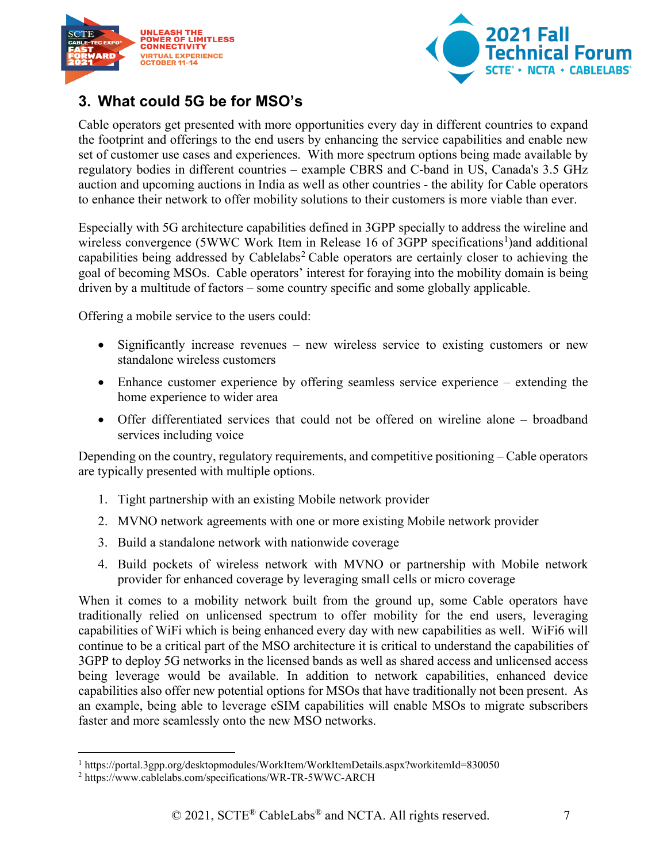



## <span id="page-6-0"></span>**3. What could 5G be for MSO's**

Cable operators get presented with more opportunities every day in different countries to expand the footprint and offerings to the end users by enhancing the service capabilities and enable new set of customer use cases and experiences. With more spectrum options being made available by regulatory bodies in different countries – example CBRS and C-band in US, Canada's 3.5 GHz auction and upcoming auctions in India as well as other countries - the ability for Cable operators to enhance their network to offer mobility solutions to their customers is more viable than ever.

Especially with 5G architecture capabilities defined in 3GPP specially to address the wireline and wireless convergence (5WWC Work Item in Release [1](#page-6-1)6 of 3GPP specifications<sup>1</sup>)and additional capabilities being addressed by Cablelabs<sup>[2](#page-6-2)</sup> Cable operators are certainly closer to achieving the goal of becoming MSOs. Cable operators' interest for foraying into the mobility domain is being driven by a multitude of factors – some country specific and some globally applicable.

Offering a mobile service to the users could:

- Significantly increase revenues new wireless service to existing customers or new standalone wireless customers
- Enhance customer experience by offering seamless service experience extending the home experience to wider area
- Offer differentiated services that could not be offered on wireline alone broadband services including voice

Depending on the country, regulatory requirements, and competitive positioning – Cable operators are typically presented with multiple options.

- 1. Tight partnership with an existing Mobile network provider
- 2. MVNO network agreements with one or more existing Mobile network provider
- 3. Build a standalone network with nationwide coverage
- 4. Build pockets of wireless network with MVNO or partnership with Mobile network provider for enhanced coverage by leveraging small cells or micro coverage

When it comes to a mobility network built from the ground up, some Cable operators have traditionally relied on unlicensed spectrum to offer mobility for the end users, leveraging capabilities of WiFi which is being enhanced every day with new capabilities as well. WiFi6 will continue to be a critical part of the MSO architecture it is critical to understand the capabilities of 3GPP to deploy 5G networks in the licensed bands as well as shared access and unlicensed access being leverage would be available. In addition to network capabilities, enhanced device capabilities also offer new potential options for MSOs that have traditionally not been present. As an example, being able to leverage eSIM capabilities will enable MSOs to migrate subscribers faster and more seamlessly onto the new MSO networks.

<span id="page-6-1"></span><sup>1</sup> https://portal.3gpp.org/desktopmodules/WorkItem/WorkItemDetails.aspx?workitemId=830050

<span id="page-6-2"></span><sup>2</sup> https://www.cablelabs.com/specifications/WR-TR-5WWC-ARCH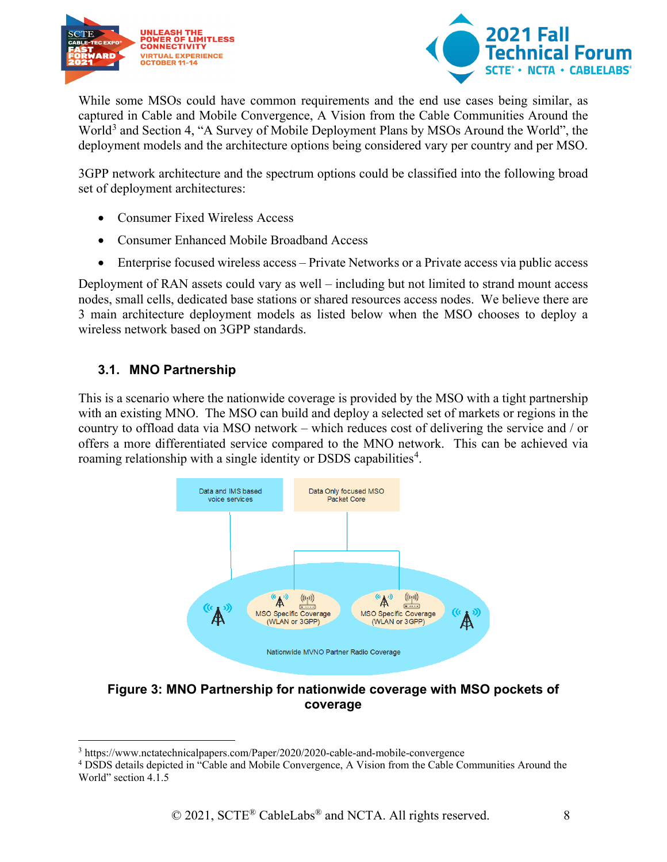



While some MSOs could have common requirements and the end use cases being similar, as captured in Cable and Mobile Convergence, A Vision from the Cable Communities Around the World<sup>[3](#page-7-2)</sup> and Section 4, "A Survey of Mobile Deployment Plans by MSOs Around the World", the deployment models and the architecture options being considered vary per country and per MSO.

3GPP network architecture and the spectrum options could be classified into the following broad set of deployment architectures:

- Consumer Fixed Wireless Access
- Consumer Enhanced Mobile Broadband Access
- Enterprise focused wireless access Private Networks or a Private access via public access

Deployment of RAN assets could vary as well – including but not limited to strand mount access nodes, small cells, dedicated base stations or shared resources access nodes. We believe there are 3 main architecture deployment models as listed below when the MSO chooses to deploy a wireless network based on 3GPP standards.

#### <span id="page-7-0"></span>**3.1. MNO Partnership**

This is a scenario where the nationwide coverage is provided by the MSO with a tight partnership with an existing MNO. The MSO can build and deploy a selected set of markets or regions in the country to offload data via MSO network – which reduces cost of delivering the service and / or offers a more differentiated service compared to the MNO network. This can be achieved via roaming relationship with a single identity or DSDS capabilities<sup>[4](#page-7-3)</sup>.



#### <span id="page-7-1"></span>**Figure 3: MNO Partnership for nationwide coverage with MSO pockets of coverage**

<span id="page-7-2"></span><sup>3</sup> https://www.nctatechnicalpapers.com/Paper/2020/2020-cable-and-mobile-convergence

<span id="page-7-3"></span><sup>4</sup> DSDS details depicted in "Cable and Mobile Convergence, A Vision from the Cable Communities Around the World" section 4.1.5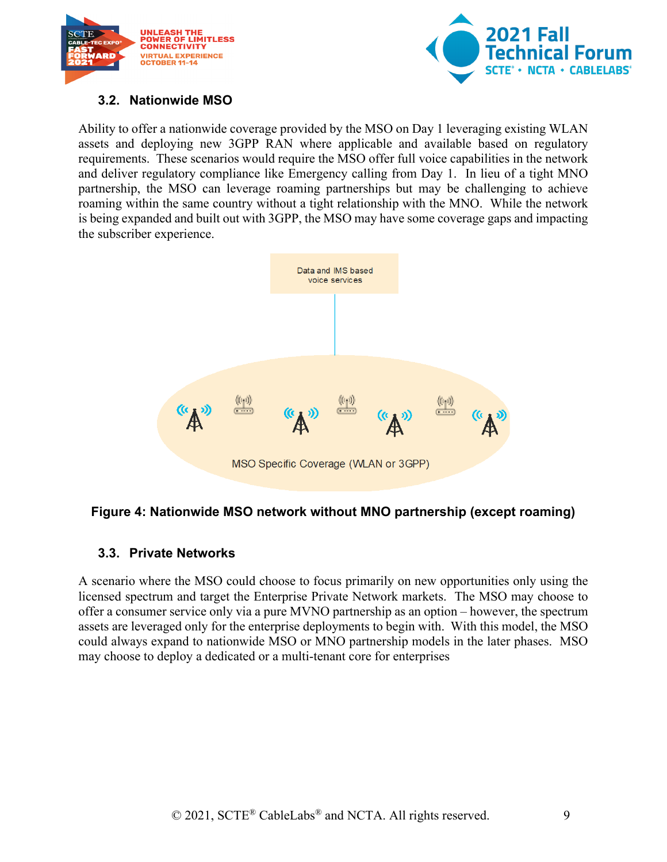



#### <span id="page-8-0"></span>**3.2. Nationwide MSO**

Ability to offer a nationwide coverage provided by the MSO on Day 1 leveraging existing WLAN assets and deploying new 3GPP RAN where applicable and available based on regulatory requirements. These scenarios would require the MSO offer full voice capabilities in the network and deliver regulatory compliance like Emergency calling from Day 1. In lieu of a tight MNO partnership, the MSO can leverage roaming partnerships but may be challenging to achieve roaming within the same country without a tight relationship with the MNO. While the network is being expanded and built out with 3GPP, the MSO may have some coverage gaps and impacting the subscriber experience.



#### <span id="page-8-2"></span>**Figure 4: Nationwide MSO network without MNO partnership (except roaming)**

#### <span id="page-8-1"></span>**3.3. Private Networks**

A scenario where the MSO could choose to focus primarily on new opportunities only using the licensed spectrum and target the Enterprise Private Network markets. The MSO may choose to offer a consumer service only via a pure MVNO partnership as an option – however, the spectrum assets are leveraged only for the enterprise deployments to begin with. With this model, the MSO could always expand to nationwide MSO or MNO partnership models in the later phases. MSO may choose to deploy a dedicated or a multi-tenant core for enterprises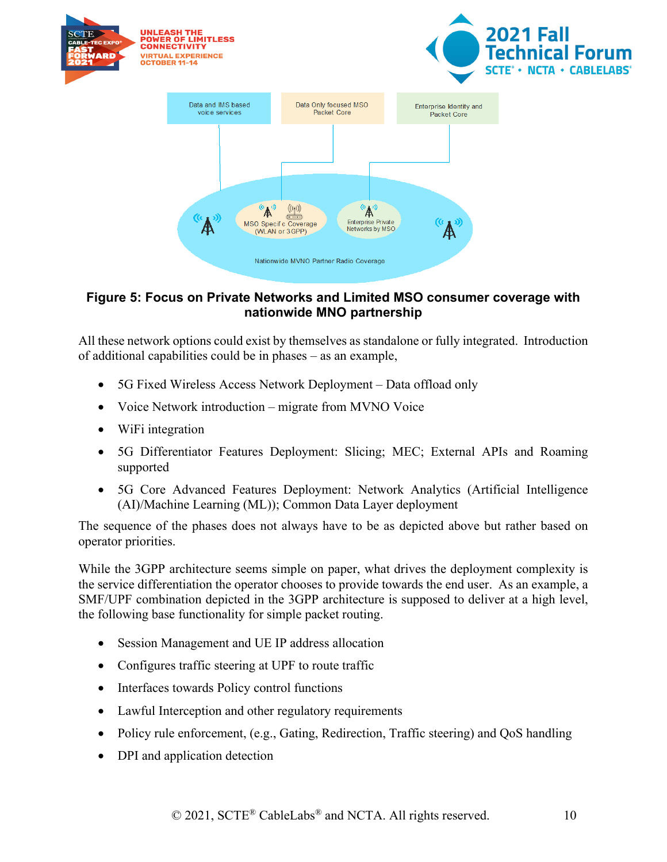

#### <span id="page-9-0"></span>**Figure 5: Focus on Private Networks and Limited MSO consumer coverage with nationwide MNO partnership**

All these network options could exist by themselves as standalone or fully integrated. Introduction of additional capabilities could be in phases – as an example,

- 5G Fixed Wireless Access Network Deployment Data offload only
- Voice Network introduction migrate from MVNO Voice
- WiFi integration
- 5G Differentiator Features Deployment: Slicing; MEC; External APIs and Roaming supported
- 5G Core Advanced Features Deployment: Network Analytics (Artificial Intelligence (AI)/Machine Learning (ML)); Common Data Layer deployment

The sequence of the phases does not always have to be as depicted above but rather based on operator priorities.

While the 3GPP architecture seems simple on paper, what drives the deployment complexity is the service differentiation the operator chooses to provide towards the end user. As an example, a SMF/UPF combination depicted in the 3GPP architecture is supposed to deliver at a high level, the following base functionality for simple packet routing.

- Session Management and UE IP address allocation
- Configures traffic steering at UPF to route traffic
- Interfaces towards Policy control functions
- Lawful Interception and other regulatory requirements
- Policy rule enforcement, (e.g., Gating, Redirection, Traffic steering) and QoS handling
- DPI and application detection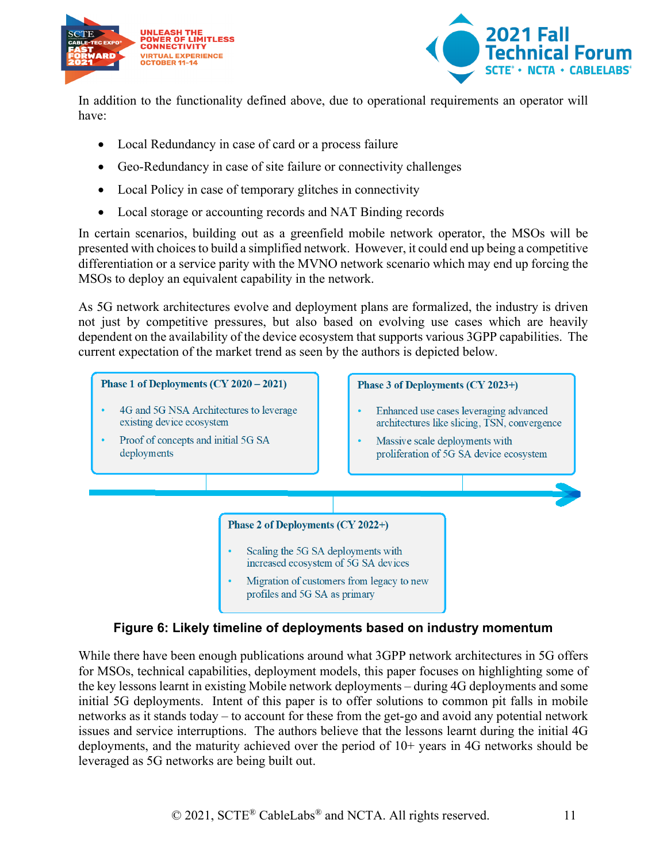



In addition to the functionality defined above, due to operational requirements an operator will have:

- Local Redundancy in case of card or a process failure
- Geo-Redundancy in case of site failure or connectivity challenges
- Local Policy in case of temporary glitches in connectivity
- Local storage or accounting records and NAT Binding records

In certain scenarios, building out as a greenfield mobile network operator, the MSOs will be presented with choices to build a simplified network. However, it could end up being a competitive differentiation or a service parity with the MVNO network scenario which may end up forcing the MSOs to deploy an equivalent capability in the network.

As 5G network architectures evolve and deployment plans are formalized, the industry is driven not just by competitive pressures, but also based on evolving use cases which are heavily dependent on the availability of the device ecosystem that supports various 3GPP capabilities. The current expectation of the market trend as seen by the authors is depicted below.



#### **Figure 6: Likely timeline of deployments based on industry momentum**

<span id="page-10-0"></span>While there have been enough publications around what 3GPP network architectures in 5G offers for MSOs, technical capabilities, deployment models, this paper focuses on highlighting some of the key lessons learnt in existing Mobile network deployments – during 4G deployments and some initial 5G deployments. Intent of this paper is to offer solutions to common pit falls in mobile networks as it stands today – to account for these from the get-go and avoid any potential network issues and service interruptions. The authors believe that the lessons learnt during the initial 4G deployments, and the maturity achieved over the period of 10+ years in 4G networks should be leveraged as 5G networks are being built out.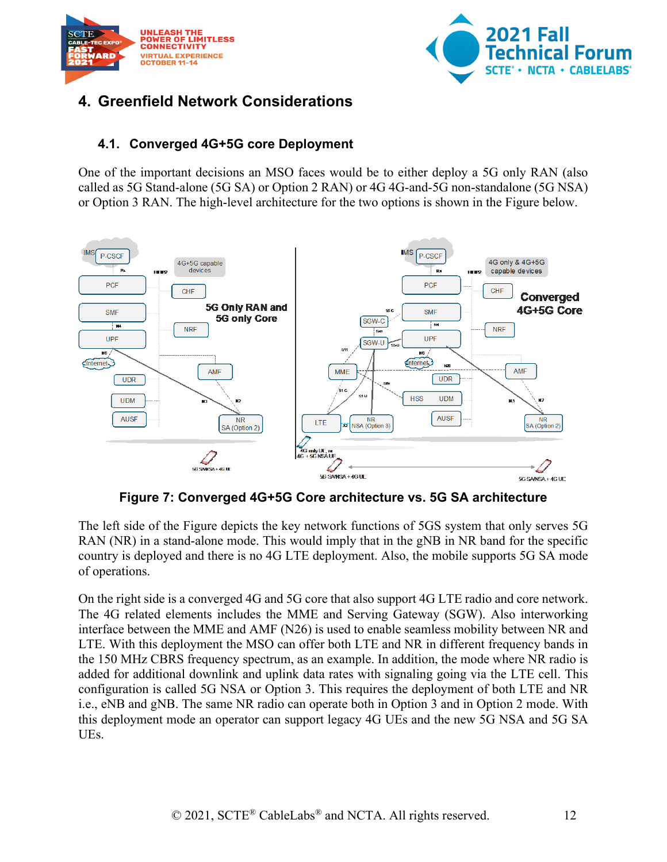



## <span id="page-11-1"></span><span id="page-11-0"></span>**4. Greenfield Network Considerations**

#### **4.1. Converged 4G+5G core Deployment**

One of the important decisions an MSO faces would be to either deploy a 5G only RAN (also called as 5G Stand-alone (5G SA) or Option 2 RAN) or 4G 4G-and-5G non-standalone (5G NSA) or Option 3 RAN. The high-level architecture for the two options is shown in the Figure below.



**Figure 7: Converged 4G+5G Core architecture vs. 5G SA architecture**

<span id="page-11-2"></span>The left side of the Figure depicts the key network functions of 5GS system that only serves 5G RAN (NR) in a stand-alone mode. This would imply that in the gNB in NR band for the specific country is deployed and there is no 4G LTE deployment. Also, the mobile supports 5G SA mode of operations.

On the right side is a converged 4G and 5G core that also support 4G LTE radio and core network. The 4G related elements includes the MME and Serving Gateway (SGW). Also interworking interface between the MME and AMF (N26) is used to enable seamless mobility between NR and LTE. With this deployment the MSO can offer both LTE and NR in different frequency bands in the 150 MHz CBRS frequency spectrum, as an example. In addition, the mode where NR radio is added for additional downlink and uplink data rates with signaling going via the LTE cell. This configuration is called 5G NSA or Option 3. This requires the deployment of both LTE and NR i.e., eNB and gNB. The same NR radio can operate both in Option 3 and in Option 2 mode. With this deployment mode an operator can support legacy 4G UEs and the new 5G NSA and 5G SA UEs.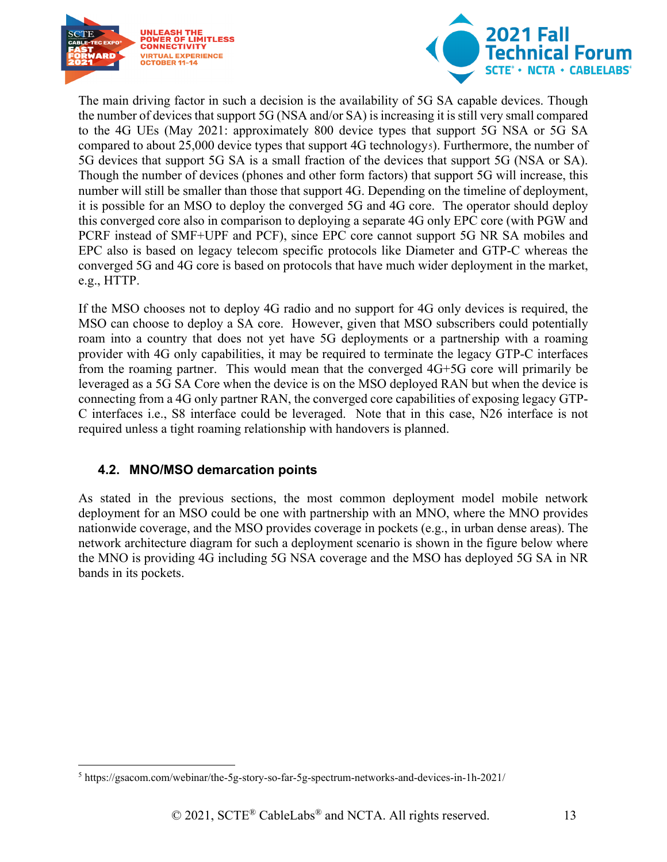



The main driving factor in such a decision is the availability of 5G SA capable devices. Though the number of devices that support 5G (NSA and/or SA) is increasing it is still very small compared to the 4G UEs (May 2021: approximately 800 device types that support 5G NSA or 5G SA compared to about 25,000 device types that support 4G technology[5](#page-12-1)). Furthermore, the number of 5G devices that support 5G SA is a small fraction of the devices that support 5G (NSA or SA). Though the number of devices (phones and other form factors) that support 5G will increase, this number will still be smaller than those that support 4G. Depending on the timeline of deployment, it is possible for an MSO to deploy the converged 5G and 4G core. The operator should deploy this converged core also in comparison to deploying a separate 4G only EPC core (with PGW and PCRF instead of SMF+UPF and PCF), since EPC core cannot support 5G NR SA mobiles and EPC also is based on legacy telecom specific protocols like Diameter and GTP-C whereas the converged 5G and 4G core is based on protocols that have much wider deployment in the market, e.g., HTTP.

If the MSO chooses not to deploy 4G radio and no support for 4G only devices is required, the MSO can choose to deploy a SA core. However, given that MSO subscribers could potentially roam into a country that does not yet have 5G deployments or a partnership with a roaming provider with 4G only capabilities, it may be required to terminate the legacy GTP-C interfaces from the roaming partner. This would mean that the converged 4G+5G core will primarily be leveraged as a 5G SA Core when the device is on the MSO deployed RAN but when the device is connecting from a 4G only partner RAN, the converged core capabilities of exposing legacy GTP-C interfaces i.e., S8 interface could be leveraged. Note that in this case, N26 interface is not required unless a tight roaming relationship with handovers is planned.

#### <span id="page-12-0"></span>**4.2. MNO/MSO demarcation points**

As stated in the previous sections, the most common deployment model mobile network deployment for an MSO could be one with partnership with an MNO, where the MNO provides nationwide coverage, and the MSO provides coverage in pockets (e.g., in urban dense areas). The network architecture diagram for such a deployment scenario is shown in the figure below where the MNO is providing 4G including 5G NSA coverage and the MSO has deployed 5G SA in NR bands in its pockets.

<span id="page-12-1"></span><sup>5</sup> https://gsacom.com/webinar/the-5g-story-so-far-5g-spectrum-networks-and-devices-in-1h-2021/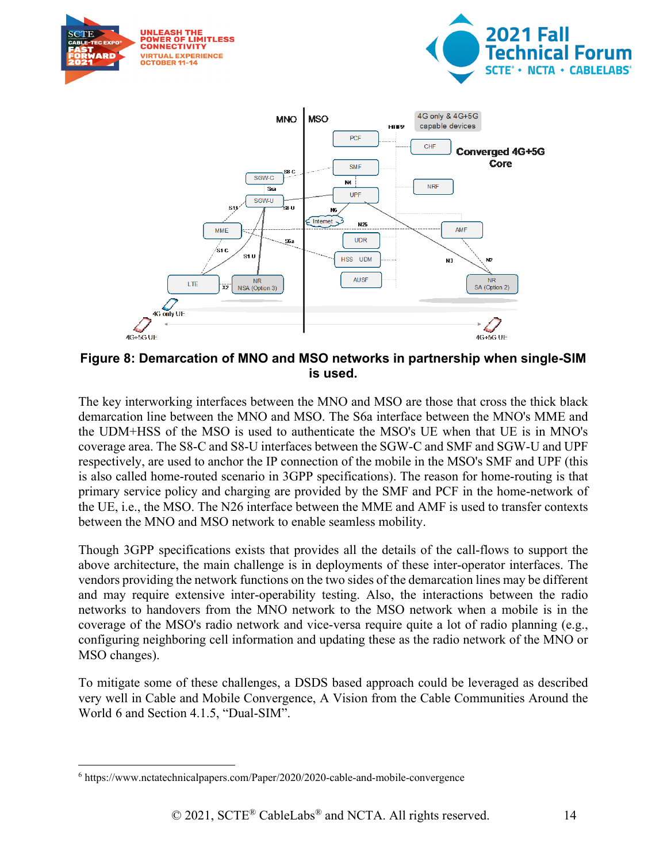

**Figure 8: Demarcation of MNO and MSO networks in partnership when single-SIM is used.** 

<span id="page-13-0"></span>The key interworking interfaces between the MNO and MSO are those that cross the thick black demarcation line between the MNO and MSO. The S6a interface between the MNO's MME and the UDM+HSS of the MSO is used to authenticate the MSO's UE when that UE is in MNO's coverage area. The S8-C and S8-U interfaces between the SGW-C and SMF and SGW-U and UPF respectively, are used to anchor the IP connection of the mobile in the MSO's SMF and UPF (this is also called home-routed scenario in 3GPP specifications). The reason for home-routing is that primary service policy and charging are provided by the SMF and PCF in the home-network of the UE, i.e., the MSO. The N26 interface between the MME and AMF is used to transfer contexts between the MNO and MSO network to enable seamless mobility.

Though 3GPP specifications exists that provides all the details of the call-flows to support the above architecture, the main challenge is in deployments of these inter-operator interfaces. The vendors providing the network functions on the two sides of the demarcation lines may be different and may require extensive inter-operability testing. Also, the interactions between the radio networks to handovers from the MNO network to the MSO network when a mobile is in the coverage of the MSO's radio network and vice-versa require quite a lot of radio planning (e.g., configuring neighboring cell information and updating these as the radio network of the MNO or MSO changes).

To mitigate some of these challenges, a DSDS based approach could be leveraged as described very well in Cable and Mobile Convergence, A Vision from the Cable Communities Around the World [6](#page-13-1) and Section 4.1.5, "Dual-SIM".

<span id="page-13-1"></span><sup>6</sup> https://www.nctatechnicalpapers.com/Paper/2020/2020-cable-and-mobile-convergence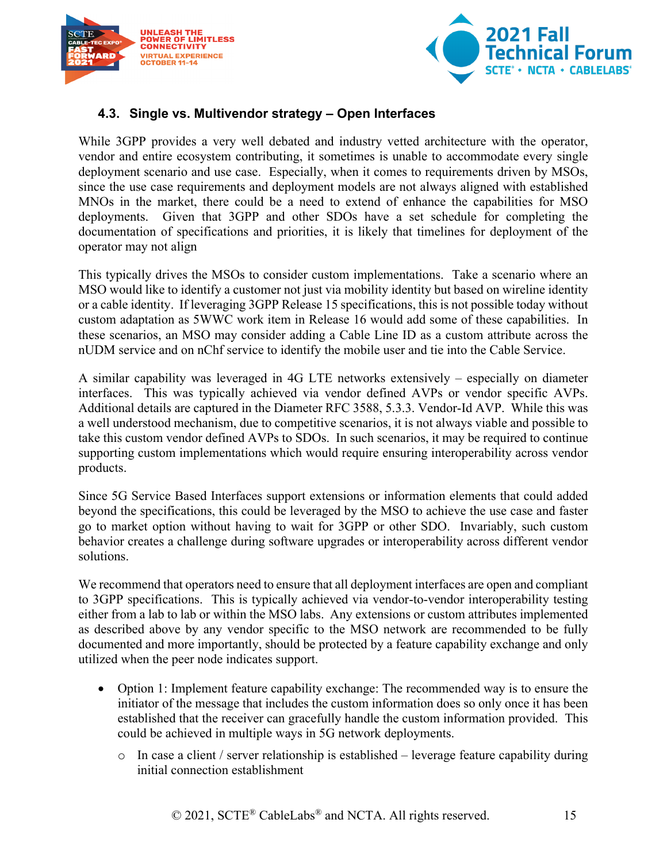



#### <span id="page-14-0"></span>**4.3. Single vs. Multivendor strategy – Open Interfaces**

While 3GPP provides a very well debated and industry vetted architecture with the operator, vendor and entire ecosystem contributing, it sometimes is unable to accommodate every single deployment scenario and use case. Especially, when it comes to requirements driven by MSOs, since the use case requirements and deployment models are not always aligned with established MNOs in the market, there could be a need to extend of enhance the capabilities for MSO deployments. Given that 3GPP and other SDOs have a set schedule for completing the documentation of specifications and priorities, it is likely that timelines for deployment of the operator may not align

This typically drives the MSOs to consider custom implementations. Take a scenario where an MSO would like to identify a customer not just via mobility identity but based on wireline identity or a cable identity. If leveraging 3GPP Release 15 specifications, this is not possible today without custom adaptation as 5WWC work item in Release 16 would add some of these capabilities. In these scenarios, an MSO may consider adding a Cable Line ID as a custom attribute across the nUDM service and on nChf service to identify the mobile user and tie into the Cable Service.

A similar capability was leveraged in 4G LTE networks extensively – especially on diameter interfaces. This was typically achieved via vendor defined AVPs or vendor specific AVPs. Additional details are captured in the Diameter RFC 3588, 5.3.3. Vendor-Id AVP. While this was a well understood mechanism, due to competitive scenarios, it is not always viable and possible to take this custom vendor defined AVPs to SDOs. In such scenarios, it may be required to continue supporting custom implementations which would require ensuring interoperability across vendor products.

Since 5G Service Based Interfaces support extensions or information elements that could added beyond the specifications, this could be leveraged by the MSO to achieve the use case and faster go to market option without having to wait for 3GPP or other SDO. Invariably, such custom behavior creates a challenge during software upgrades or interoperability across different vendor solutions.

We recommend that operators need to ensure that all deployment interfaces are open and compliant to 3GPP specifications. This is typically achieved via vendor-to-vendor interoperability testing either from a lab to lab or within the MSO labs. Any extensions or custom attributes implemented as described above by any vendor specific to the MSO network are recommended to be fully documented and more importantly, should be protected by a feature capability exchange and only utilized when the peer node indicates support.

- Option 1: Implement feature capability exchange: The recommended way is to ensure the initiator of the message that includes the custom information does so only once it has been established that the receiver can gracefully handle the custom information provided. This could be achieved in multiple ways in 5G network deployments.
	- o In case a client / server relationship is established leverage feature capability during initial connection establishment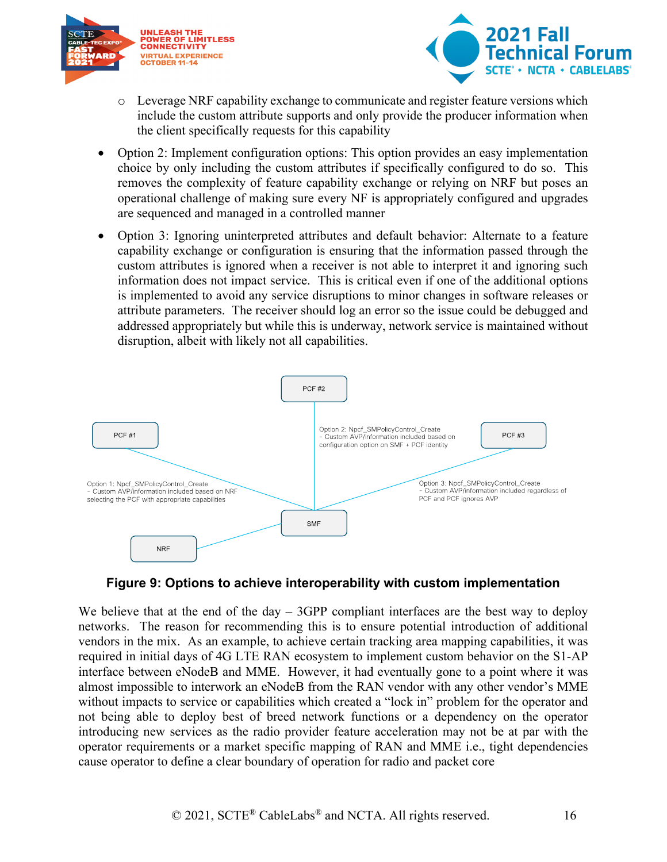



- o Leverage NRF capability exchange to communicate and register feature versions which include the custom attribute supports and only provide the producer information when the client specifically requests for this capability
- Option 2: Implement configuration options: This option provides an easy implementation choice by only including the custom attributes if specifically configured to do so. This removes the complexity of feature capability exchange or relying on NRF but poses an operational challenge of making sure every NF is appropriately configured and upgrades are sequenced and managed in a controlled manner
- Option 3: Ignoring uninterpreted attributes and default behavior: Alternate to a feature capability exchange or configuration is ensuring that the information passed through the custom attributes is ignored when a receiver is not able to interpret it and ignoring such information does not impact service. This is critical even if one of the additional options is implemented to avoid any service disruptions to minor changes in software releases or attribute parameters. The receiver should log an error so the issue could be debugged and addressed appropriately but while this is underway, network service is maintained without disruption, albeit with likely not all capabilities.



#### **Figure 9: Options to achieve interoperability with custom implementation**

<span id="page-15-0"></span>We believe that at the end of the day  $-$  3GPP compliant interfaces are the best way to deploy networks. The reason for recommending this is to ensure potential introduction of additional vendors in the mix. As an example, to achieve certain tracking area mapping capabilities, it was required in initial days of 4G LTE RAN ecosystem to implement custom behavior on the S1-AP interface between eNodeB and MME. However, it had eventually gone to a point where it was almost impossible to interwork an eNodeB from the RAN vendor with any other vendor's MME without impacts to service or capabilities which created a "lock in" problem for the operator and not being able to deploy best of breed network functions or a dependency on the operator introducing new services as the radio provider feature acceleration may not be at par with the operator requirements or a market specific mapping of RAN and MME i.e., tight dependencies cause operator to define a clear boundary of operation for radio and packet core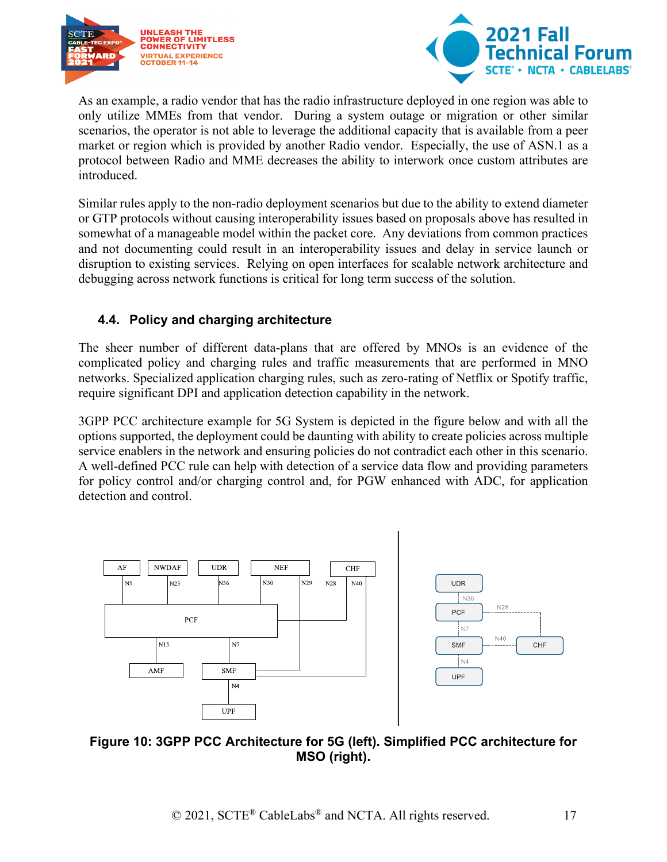



As an example, a radio vendor that has the radio infrastructure deployed in one region was able to only utilize MMEs from that vendor. During a system outage or migration or other similar scenarios, the operator is not able to leverage the additional capacity that is available from a peer market or region which is provided by another Radio vendor. Especially, the use of ASN.1 as a protocol between Radio and MME decreases the ability to interwork once custom attributes are introduced.

Similar rules apply to the non-radio deployment scenarios but due to the ability to extend diameter or GTP protocols without causing interoperability issues based on proposals above has resulted in somewhat of a manageable model within the packet core. Any deviations from common practices and not documenting could result in an interoperability issues and delay in service launch or disruption to existing services. Relying on open interfaces for scalable network architecture and debugging across network functions is critical for long term success of the solution.

#### <span id="page-16-0"></span>**4.4. Policy and charging architecture**

The sheer number of different data-plans that are offered by MNOs is an evidence of the complicated policy and charging rules and traffic measurements that are performed in MNO networks. Specialized application charging rules, such as zero-rating of Netflix or Spotify traffic, require significant DPI and application detection capability in the network.

3GPP PCC architecture example for 5G System is depicted in the figure below and with all the options supported, the deployment could be daunting with ability to create policies across multiple service enablers in the network and ensuring policies do not contradict each other in this scenario. A well-defined PCC rule can help with detection of a service data flow and providing parameters for policy control and/or charging control and, for PGW enhanced with ADC, for application detection and control.



#### <span id="page-16-1"></span>**Figure 10: 3GPP PCC Architecture for 5G (left). Simplified PCC architecture for MSO (right).**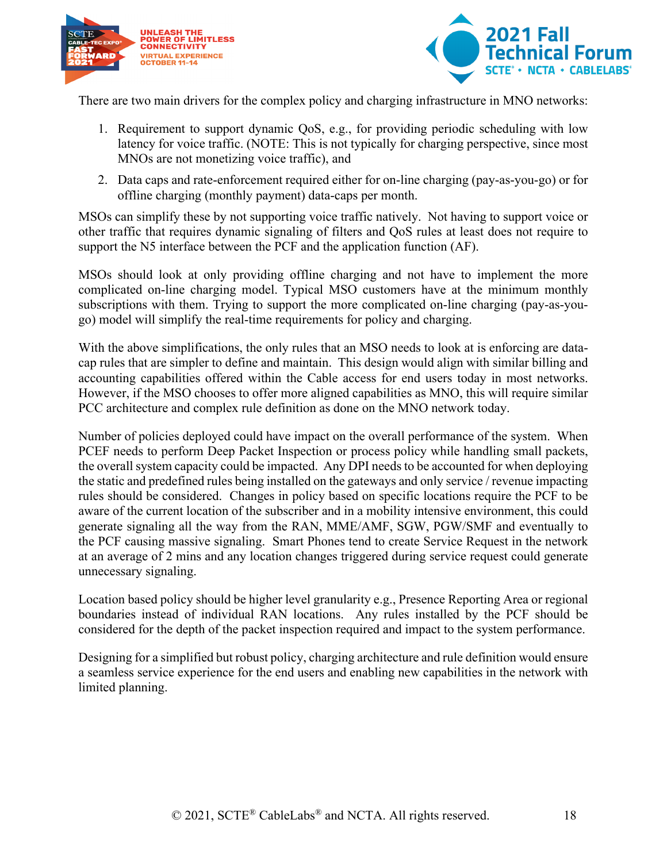



There are two main drivers for the complex policy and charging infrastructure in MNO networks:

- 1. Requirement to support dynamic QoS, e.g., for providing periodic scheduling with low latency for voice traffic. (NOTE: This is not typically for charging perspective, since most MNOs are not monetizing voice traffic), and
- 2. Data caps and rate-enforcement required either for on-line charging (pay-as-you-go) or for offline charging (monthly payment) data-caps per month.

MSOs can simplify these by not supporting voice traffic natively. Not having to support voice or other traffic that requires dynamic signaling of filters and QoS rules at least does not require to support the N5 interface between the PCF and the application function (AF).

MSOs should look at only providing offline charging and not have to implement the more complicated on-line charging model. Typical MSO customers have at the minimum monthly subscriptions with them. Trying to support the more complicated on-line charging (pay-as-yougo) model will simplify the real-time requirements for policy and charging.

With the above simplifications, the only rules that an MSO needs to look at is enforcing are datacap rules that are simpler to define and maintain. This design would align with similar billing and accounting capabilities offered within the Cable access for end users today in most networks. However, if the MSO chooses to offer more aligned capabilities as MNO, this will require similar PCC architecture and complex rule definition as done on the MNO network today.

Number of policies deployed could have impact on the overall performance of the system. When PCEF needs to perform Deep Packet Inspection or process policy while handling small packets, the overall system capacity could be impacted. Any DPI needs to be accounted for when deploying the static and predefined rules being installed on the gateways and only service / revenue impacting rules should be considered. Changes in policy based on specific locations require the PCF to be aware of the current location of the subscriber and in a mobility intensive environment, this could generate signaling all the way from the RAN, MME/AMF, SGW, PGW/SMF and eventually to the PCF causing massive signaling. Smart Phones tend to create Service Request in the network at an average of 2 mins and any location changes triggered during service request could generate unnecessary signaling.

Location based policy should be higher level granularity e.g., Presence Reporting Area or regional boundaries instead of individual RAN locations. Any rules installed by the PCF should be considered for the depth of the packet inspection required and impact to the system performance.

Designing for a simplified but robust policy, charging architecture and rule definition would ensure a seamless service experience for the end users and enabling new capabilities in the network with limited planning.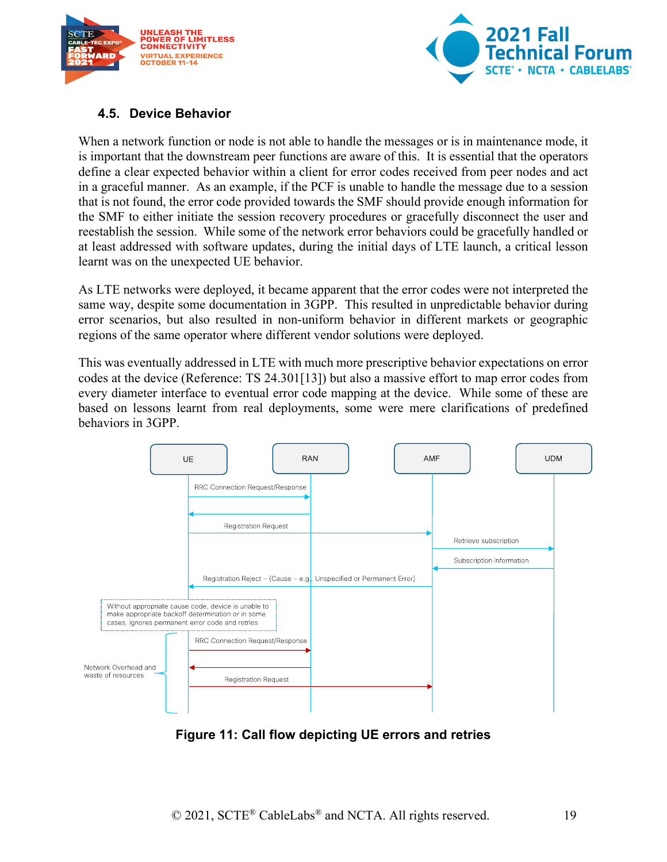



#### <span id="page-18-0"></span>**4.5. Device Behavior**

When a network function or node is not able to handle the messages or is in maintenance mode, it is important that the downstream peer functions are aware of this. It is essential that the operators define a clear expected behavior within a client for error codes received from peer nodes and act in a graceful manner. As an example, if the PCF is unable to handle the message due to a session that is not found, the error code provided towards the SMF should provide enough information for the SMF to either initiate the session recovery procedures or gracefully disconnect the user and reestablish the session. While some of the network error behaviors could be gracefully handled or at least addressed with software updates, during the initial days of LTE launch, a critical lesson learnt was on the unexpected UE behavior.

As LTE networks were deployed, it became apparent that the error codes were not interpreted the same way, despite some documentation in 3GPP. This resulted in unpredictable behavior during error scenarios, but also resulted in non-uniform behavior in different markets or geographic regions of the same operator where different vendor solutions were deployed.

This was eventually addressed in LTE with much more prescriptive behavior expectations on error codes at the device (Reference: TS 24.30[1\[13\]\)](#page-26-1) but also a massive effort to map error codes from every diameter interface to eventual error code mapping at the device. While some of these are based on lessons learnt from real deployments, some were mere clarifications of predefined behaviors in 3GPP.



<span id="page-18-1"></span>**Figure 11: Call flow depicting UE errors and retries**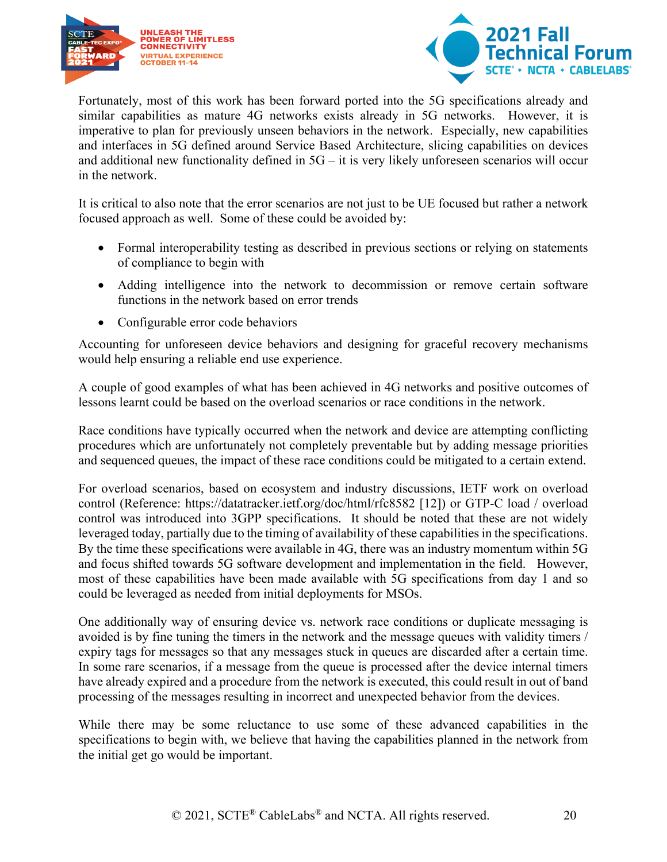



Fortunately, most of this work has been forward ported into the 5G specifications already and similar capabilities as mature 4G networks exists already in 5G networks. However, it is imperative to plan for previously unseen behaviors in the network. Especially, new capabilities and interfaces in 5G defined around Service Based Architecture, slicing capabilities on devices and additional new functionality defined in  $5G - it$  is very likely unforeseen scenarios will occur in the network.

It is critical to also note that the error scenarios are not just to be UE focused but rather a network focused approach as well. Some of these could be avoided by:

- Formal interoperability testing as described in previous sections or relying on statements of compliance to begin with
- Adding intelligence into the network to decommission or remove certain software functions in the network based on error trends
- Configurable error code behaviors

Accounting for unforeseen device behaviors and designing for graceful recovery mechanisms would help ensuring a reliable end use experience.

A couple of good examples of what has been achieved in 4G networks and positive outcomes of lessons learnt could be based on the overload scenarios or race conditions in the network.

Race conditions have typically occurred when the network and device are attempting conflicting procedures which are unfortunately not completely preventable but by adding message priorities and sequenced queues, the impact of these race conditions could be mitigated to a certain extend.

For overload scenarios, based on ecosystem and industry discussions, IETF work on overload control (Reference:<https://datatracker.ietf.org/doc/html/rfc8582> [\[12\]\)](#page-26-2) or GTP-C load / overload control was introduced into 3GPP specifications. It should be noted that these are not widely leveraged today, partially due to the timing of availability of these capabilities in the specifications. By the time these specifications were available in 4G, there was an industry momentum within 5G and focus shifted towards 5G software development and implementation in the field. However, most of these capabilities have been made available with 5G specifications from day 1 and so could be leveraged as needed from initial deployments for MSOs.

One additionally way of ensuring device vs. network race conditions or duplicate messaging is avoided is by fine tuning the timers in the network and the message queues with validity timers / expiry tags for messages so that any messages stuck in queues are discarded after a certain time. In some rare scenarios, if a message from the queue is processed after the device internal timers have already expired and a procedure from the network is executed, this could result in out of band processing of the messages resulting in incorrect and unexpected behavior from the devices.

While there may be some reluctance to use some of these advanced capabilities in the specifications to begin with, we believe that having the capabilities planned in the network from the initial get go would be important.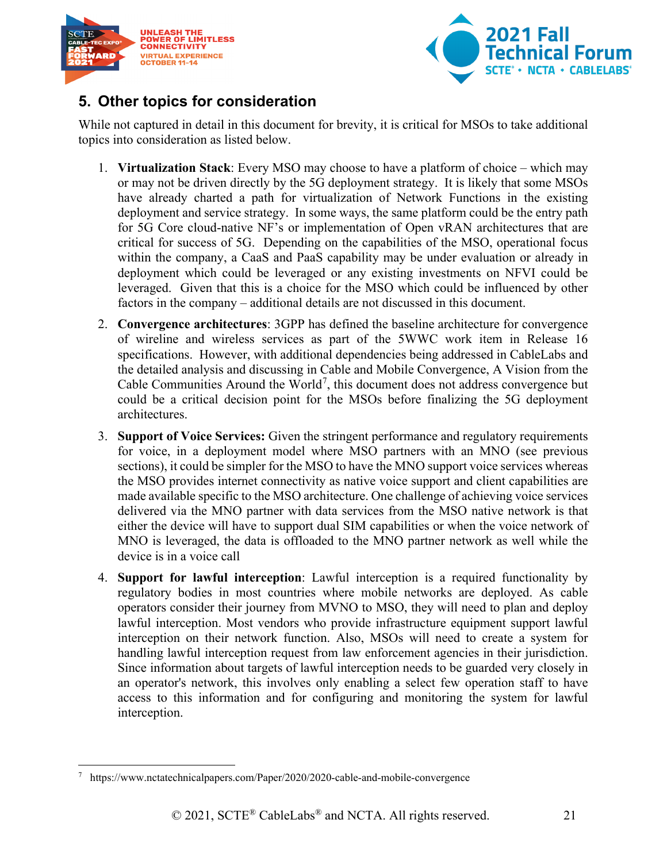



## <span id="page-20-0"></span>**5. Other topics for consideration**

While not captured in detail in this document for brevity, it is critical for MSOs to take additional topics into consideration as listed below.

- 1. **Virtualization Stack**: Every MSO may choose to have a platform of choice which may or may not be driven directly by the 5G deployment strategy. It is likely that some MSOs have already charted a path for virtualization of Network Functions in the existing deployment and service strategy. In some ways, the same platform could be the entry path for 5G Core cloud-native NF's or implementation of Open vRAN architectures that are critical for success of 5G. Depending on the capabilities of the MSO, operational focus within the company, a CaaS and PaaS capability may be under evaluation or already in deployment which could be leveraged or any existing investments on NFVI could be leveraged. Given that this is a choice for the MSO which could be influenced by other factors in the company – additional details are not discussed in this document.
- 2. **Convergence architectures**: 3GPP has defined the baseline architecture for convergence of wireline and wireless services as part of the 5WWC work item in Release 16 specifications. However, with additional dependencies being addressed in CableLabs and the detailed analysis and discussing in Cable and Mobile Convergence, A Vision from the Cable Communities Around the World<sup>[7](#page-20-1)</sup>, this document does not address convergence but could be a critical decision point for the MSOs before finalizing the 5G deployment architectures.
- 3. **Support of Voice Services:** Given the stringent performance and regulatory requirements for voice, in a deployment model where MSO partners with an MNO (see previous sections), it could be simpler for the MSO to have the MNO support voice services whereas the MSO provides internet connectivity as native voice support and client capabilities are made available specific to the MSO architecture. One challenge of achieving voice services delivered via the MNO partner with data services from the MSO native network is that either the device will have to support dual SIM capabilities or when the voice network of MNO is leveraged, the data is offloaded to the MNO partner network as well while the device is in a voice call
- 4. **Support for lawful interception**: Lawful interception is a required functionality by regulatory bodies in most countries where mobile networks are deployed. As cable operators consider their journey from MVNO to MSO, they will need to plan and deploy lawful interception. Most vendors who provide infrastructure equipment support lawful interception on their network function. Also, MSOs will need to create a system for handling lawful interception request from law enforcement agencies in their jurisdiction. Since information about targets of lawful interception needs to be guarded very closely in an operator's network, this involves only enabling a select few operation staff to have access to this information and for configuring and monitoring the system for lawful interception.

<span id="page-20-1"></span>https://www.nctatechnicalpapers.com/Paper/2020/2020-cable-and-mobile-convergence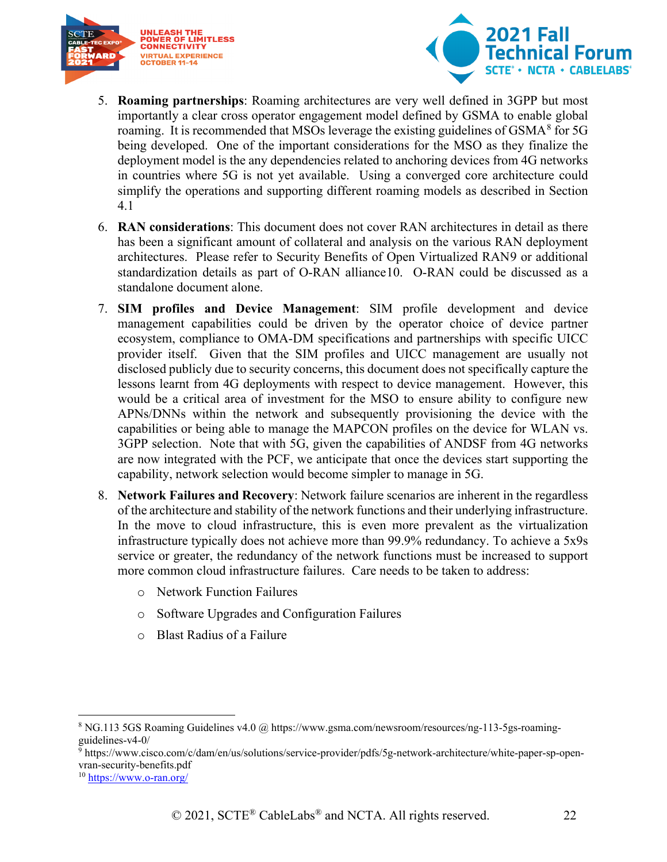



- 5. **Roaming partnerships**: Roaming architectures are very well defined in 3GPP but most importantly a clear cross operator engagement model defined by GSMA to enable global roaming. It is recommended that MSOs leverage the existing guidelines of GSMA $8$  for 5G being developed. One of the important considerations for the MSO as they finalize the deployment model is the any dependencies related to anchoring devices from 4G networks in countries where 5G is not yet available. Using a converged core architecture could simplify the operations and supporting different roaming models as described in Section [4.1](#page-11-1)
- 6. **RAN considerations**: This document does not cover RAN architectures in detail as there has been a significant amount of collateral and analysis on the various RAN deployment architectures. Please refer to Security Benefits of Open Virtualized RAN[9](#page-21-1) or additional standardization details as part of O-RAN alliance[10](#page-21-2). O-RAN could be discussed as a standalone document alone.
- 7. **SIM profiles and Device Management**: SIM profile development and device management capabilities could be driven by the operator choice of device partner ecosystem, compliance to OMA-DM specifications and partnerships with specific UICC provider itself. Given that the SIM profiles and UICC management are usually not disclosed publicly due to security concerns, this document does not specifically capture the lessons learnt from 4G deployments with respect to device management. However, this would be a critical area of investment for the MSO to ensure ability to configure new APNs/DNNs within the network and subsequently provisioning the device with the capabilities or being able to manage the MAPCON profiles on the device for WLAN vs. 3GPP selection. Note that with 5G, given the capabilities of ANDSF from 4G networks are now integrated with the PCF, we anticipate that once the devices start supporting the capability, network selection would become simpler to manage in 5G.
- 8. **Network Failures and Recovery**: Network failure scenarios are inherent in the regardless of the architecture and stability of the network functions and their underlying infrastructure. In the move to cloud infrastructure, this is even more prevalent as the virtualization infrastructure typically does not achieve more than 99.9% redundancy. To achieve a 5x9s service or greater, the redundancy of the network functions must be increased to support more common cloud infrastructure failures. Care needs to be taken to address:
	- o Network Function Failures
	- o Software Upgrades and Configuration Failures
	- o Blast Radius of a Failure

<span id="page-21-0"></span><sup>8</sup> NG.113 5GS Roaming Guidelines v4.0 @ https://www.gsma.com/newsroom/resources/ng-113-5gs-roamingguidelines-v4-0/

<span id="page-21-1"></span><sup>9</sup> https://www.cisco.com/c/dam/en/us/solutions/service-provider/pdfs/5g-network-architecture/white-paper-sp-openvran-security-benefits.pdf

<span id="page-21-2"></span><sup>10</sup> <https://www.o-ran.org/>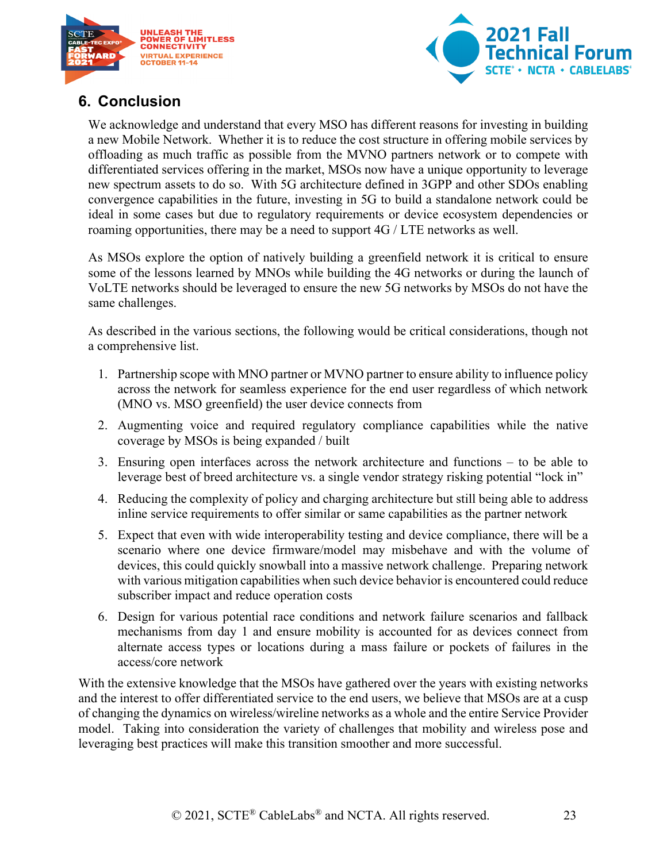



## <span id="page-22-0"></span>**6. Conclusion**

We acknowledge and understand that every MSO has different reasons for investing in building a new Mobile Network. Whether it is to reduce the cost structure in offering mobile services by offloading as much traffic as possible from the MVNO partners network or to compete with differentiated services offering in the market, MSOs now have a unique opportunity to leverage new spectrum assets to do so. With 5G architecture defined in 3GPP and other SDOs enabling convergence capabilities in the future, investing in 5G to build a standalone network could be ideal in some cases but due to regulatory requirements or device ecosystem dependencies or roaming opportunities, there may be a need to support 4G / LTE networks as well.

As MSOs explore the option of natively building a greenfield network it is critical to ensure some of the lessons learned by MNOs while building the 4G networks or during the launch of VoLTE networks should be leveraged to ensure the new 5G networks by MSOs do not have the same challenges.

As described in the various sections, the following would be critical considerations, though not a comprehensive list.

- 1. Partnership scope with MNO partner or MVNO partner to ensure ability to influence policy across the network for seamless experience for the end user regardless of which network (MNO vs. MSO greenfield) the user device connects from
- 2. Augmenting voice and required regulatory compliance capabilities while the native coverage by MSOs is being expanded / built
- 3. Ensuring open interfaces across the network architecture and functions to be able to leverage best of breed architecture vs. a single vendor strategy risking potential "lock in"
- 4. Reducing the complexity of policy and charging architecture but still being able to address inline service requirements to offer similar or same capabilities as the partner network
- 5. Expect that even with wide interoperability testing and device compliance, there will be a scenario where one device firmware/model may misbehave and with the volume of devices, this could quickly snowball into a massive network challenge. Preparing network with various mitigation capabilities when such device behavior is encountered could reduce subscriber impact and reduce operation costs
- 6. Design for various potential race conditions and network failure scenarios and fallback mechanisms from day 1 and ensure mobility is accounted for as devices connect from alternate access types or locations during a mass failure or pockets of failures in the access/core network

With the extensive knowledge that the MSOs have gathered over the years with existing networks and the interest to offer differentiated service to the end users, we believe that MSOs are at a cusp of changing the dynamics on wireless/wireline networks as a whole and the entire Service Provider model. Taking into consideration the variety of challenges that mobility and wireless pose and leveraging best practices will make this transition smoother and more successful.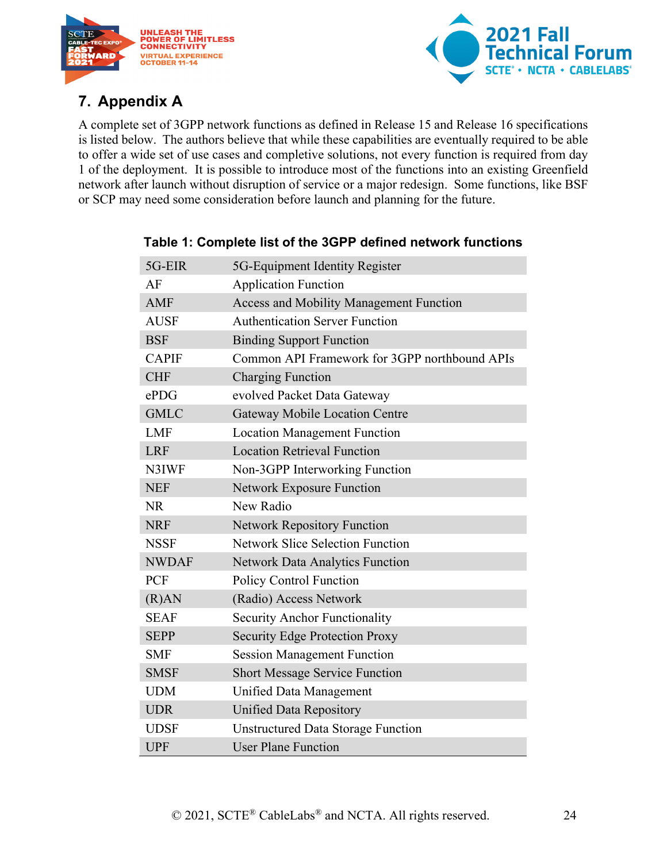



## <span id="page-23-0"></span>**7. Appendix A**

A complete set of 3GPP network functions as defined in Release 15 and Release 16 specifications is listed below. The authors believe that while these capabilities are eventually required to be able to offer a wide set of use cases and completive solutions, not every function is required from day 1 of the deployment. It is possible to introduce most of the functions into an existing Greenfield network after launch without disruption of service or a major redesign. Some functions, like BSF or SCP may need some consideration before launch and planning for the future.

| 5G-EIR       | 5G-Equipment Identity Register                 |
|--------------|------------------------------------------------|
| AF           | <b>Application Function</b>                    |
| <b>AMF</b>   | <b>Access and Mobility Management Function</b> |
| <b>AUSF</b>  | <b>Authentication Server Function</b>          |
| <b>BSF</b>   | <b>Binding Support Function</b>                |
| <b>CAPIF</b> | Common API Framework for 3GPP northbound APIs  |
| <b>CHF</b>   | <b>Charging Function</b>                       |
| ePDG         | evolved Packet Data Gateway                    |
| <b>GMLC</b>  | <b>Gateway Mobile Location Centre</b>          |
| <b>LMF</b>   | <b>Location Management Function</b>            |
| <b>LRF</b>   | <b>Location Retrieval Function</b>             |
| N3IWF        | Non-3GPP Interworking Function                 |
| <b>NEF</b>   | <b>Network Exposure Function</b>               |
| <b>NR</b>    | New Radio                                      |
| <b>NRF</b>   | <b>Network Repository Function</b>             |
| <b>NSSF</b>  | <b>Network Slice Selection Function</b>        |
| <b>NWDAF</b> | <b>Network Data Analytics Function</b>         |
| PCF          | <b>Policy Control Function</b>                 |
| (R)AN        | (Radio) Access Network                         |
| <b>SEAF</b>  | <b>Security Anchor Functionality</b>           |
| <b>SEPP</b>  | <b>Security Edge Protection Proxy</b>          |
| <b>SMF</b>   | <b>Session Management Function</b>             |
| <b>SMSF</b>  | <b>Short Message Service Function</b>          |
| <b>UDM</b>   | Unified Data Management                        |
| <b>UDR</b>   | <b>Unified Data Repository</b>                 |
| <b>UDSF</b>  | <b>Unstructured Data Storage Function</b>      |
| <b>UPF</b>   | <b>User Plane Function</b>                     |

#### <span id="page-23-1"></span>**Table 1: Complete list of the 3GPP defined network functions**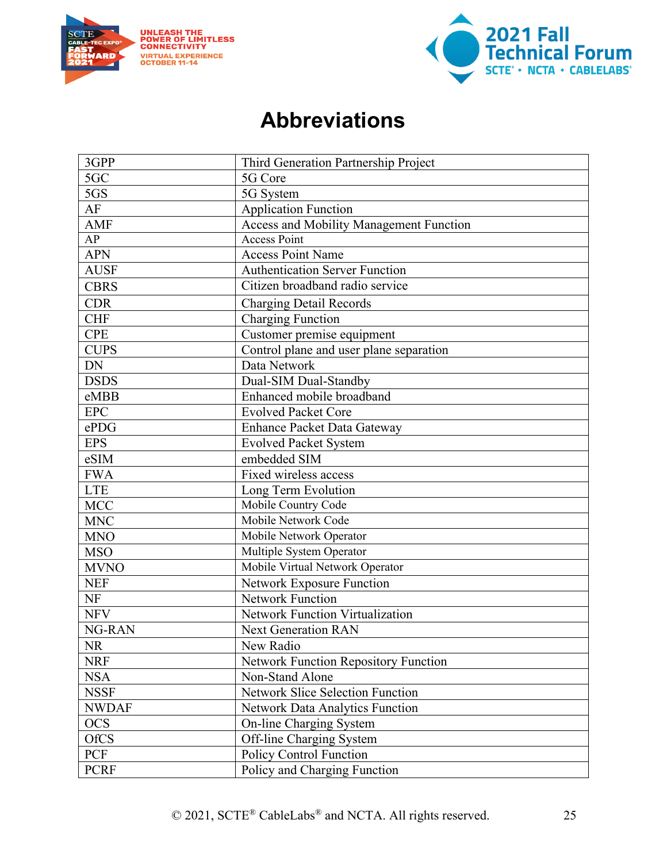



# **Abbreviations**

<span id="page-24-0"></span>

| 3GPP            | Third Generation Partnership Project        |
|-----------------|---------------------------------------------|
| 5 <sub>GC</sub> | 5G Core                                     |
| 5GS             | 5G System                                   |
| AF              | <b>Application Function</b>                 |
| <b>AMF</b>      | Access and Mobility Management Function     |
| AP              | <b>Access Point</b>                         |
| <b>APN</b>      | <b>Access Point Name</b>                    |
| <b>AUSF</b>     | <b>Authentication Server Function</b>       |
| <b>CBRS</b>     | Citizen broadband radio service             |
| <b>CDR</b>      | Charging Detail Records                     |
| <b>CHF</b>      | <b>Charging Function</b>                    |
| <b>CPE</b>      | Customer premise equipment                  |
| <b>CUPS</b>     | Control plane and user plane separation     |
| <b>DN</b>       | Data Network                                |
| <b>DSDS</b>     | Dual-SIM Dual-Standby                       |
| eMBB            | Enhanced mobile broadband                   |
| <b>EPC</b>      | <b>Evolved Packet Core</b>                  |
| ePDG            | <b>Enhance Packet Data Gateway</b>          |
| <b>EPS</b>      | <b>Evolved Packet System</b>                |
| eSIM            | embedded SIM                                |
| <b>FWA</b>      | Fixed wireless access                       |
| <b>LTE</b>      | Long Term Evolution                         |
| <b>MCC</b>      | Mobile Country Code                         |
| <b>MNC</b>      | Mobile Network Code                         |
| <b>MNO</b>      | Mobile Network Operator                     |
| <b>MSO</b>      | Multiple System Operator                    |
| <b>MVNO</b>     | Mobile Virtual Network Operator             |
| <b>NEF</b>      | Network Exposure Function                   |
| NF              | <b>Network Function</b>                     |
| <b>NFV</b>      | <b>Network Function Virtualization</b>      |
| NG-RAN          | <b>Next Generation RAN</b>                  |
| NR              | New Radio                                   |
| <b>NRF</b>      | <b>Network Function Repository Function</b> |
| <b>NSA</b>      | Non-Stand Alone                             |
| <b>NSSF</b>     | <b>Network Slice Selection Function</b>     |
| <b>NWDAF</b>    | Network Data Analytics Function             |
| <b>OCS</b>      | On-line Charging System                     |
| <b>OfCS</b>     | Off-line Charging System                    |
| PCF             | <b>Policy Control Function</b>              |
| <b>PCRF</b>     | Policy and Charging Function                |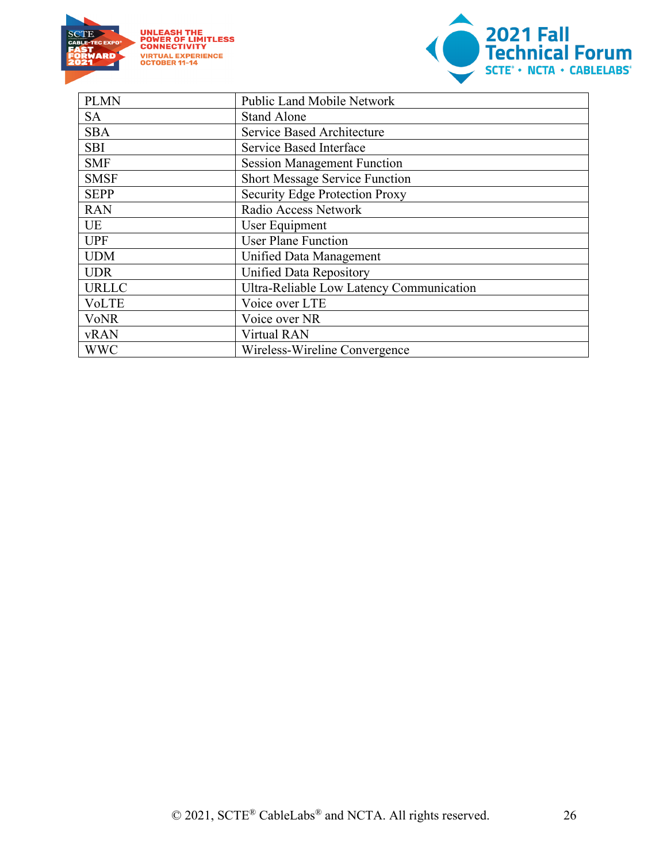

**UNLEASH THE<br>POWER OF LIMITLESS<br>CONNECTIVITY<br>VIRTUAL EXPERIENCE<br>OCTOBER 11-14** 



| <b>PLMN</b>  | <b>Public Land Mobile Network</b>        |
|--------------|------------------------------------------|
| <b>SA</b>    | <b>Stand Alone</b>                       |
| <b>SBA</b>   | Service Based Architecture               |
| <b>SBI</b>   | Service Based Interface                  |
| <b>SMF</b>   | <b>Session Management Function</b>       |
| <b>SMSF</b>  | <b>Short Message Service Function</b>    |
| <b>SEPP</b>  | <b>Security Edge Protection Proxy</b>    |
| <b>RAN</b>   | Radio Access Network                     |
| <b>UE</b>    | User Equipment                           |
| <b>UPF</b>   | <b>User Plane Function</b>               |
| <b>UDM</b>   | Unified Data Management                  |
| <b>UDR</b>   | <b>Unified Data Repository</b>           |
| <b>URLLC</b> | Ultra-Reliable Low Latency Communication |
| VoLTE        | Voice over LTE                           |
| <b>VoNR</b>  | Voice over NR                            |
| <b>vRAN</b>  | <b>Virtual RAN</b>                       |
| <b>WWC</b>   | Wireless-Wireline Convergence            |